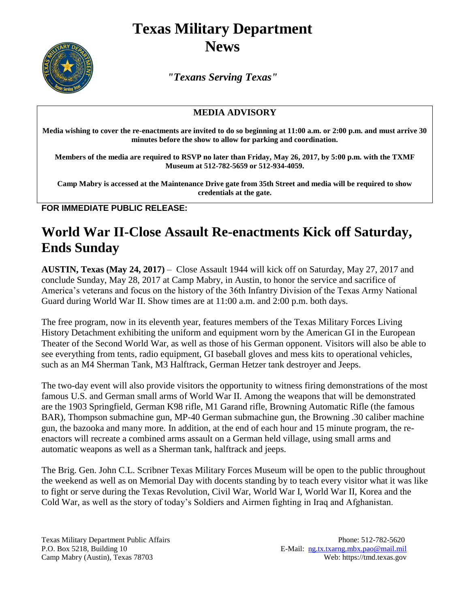## **Texas Military Department News**



*"Texans Serving Texas"*

## **MEDIA ADVISORY**

**Media wishing to cover the re-enactments are invited to do so beginning at 11:00 a.m. or 2:00 p.m. and must arrive 30 minutes before the show to allow for parking and coordination.** 

**Members of the media are required to RSVP no later than Friday, May 26, 2017, by 5:00 p.m. with the TXMF Museum at 512-782-5659 or 512-934-4059.**

**Camp Mabry is accessed at the Maintenance Drive gate from 35th Street and media will be required to show credentials at the gate.**

**FOR IMMEDIATE PUBLIC RELEASE:**

## **World War II-Close Assault Re-enactments Kick off Saturday, Ends Sunday**

**AUSTIN, Texas (May 24, 2017)** – Close Assault 1944 will kick off on Saturday, May 27, 2017 and conclude Sunday, May 28, 2017 at Camp Mabry, in Austin, to honor the service and sacrifice of America's veterans and focus on the history of the 36th Infantry Division of the Texas Army National Guard during World War II. Show times are at 11:00 a.m. and 2:00 p.m. both days.

The free program, now in its eleventh year, features members of the Texas Military Forces Living History Detachment exhibiting the uniform and equipment worn by the American GI in the European Theater of the Second World War, as well as those of his German opponent. Visitors will also be able to see everything from tents, radio equipment, GI baseball gloves and mess kits to operational vehicles, such as an M4 Sherman Tank, M3 Halftrack, German Hetzer tank destroyer and Jeeps.

The two-day event will also provide visitors the opportunity to witness firing demonstrations of the most famous U.S. and German small arms of World War II. Among the weapons that will be demonstrated are the 1903 Springfield, German K98 rifle, M1 Garand rifle, Browning Automatic Rifle (the famous BAR), Thompson submachine gun, MP-40 German submachine gun, the Browning .30 caliber machine gun, the bazooka and many more. In addition, at the end of each hour and 15 minute program, the reenactors will recreate a combined arms assault on a German held village, using small arms and automatic weapons as well as a Sherman tank, halftrack and jeeps.

The Brig. Gen. John C.L. Scribner Texas Military Forces Museum will be open to the public throughout the weekend as well as on Memorial Day with docents standing by to teach every visitor what it was like to fight or serve during the Texas Revolution, Civil War, World War I, World War II, Korea and the Cold War, as well as the story of today's Soldiers and Airmen fighting in Iraq and Afghanistan.

Texas Military Department Public Affairs Phone: 512-782-5620 P.O. Box 5218, Building 10 E-Mail: [ng.tx.txarng.mbx.pao@mail.mil](mailto:ng.tx.txarng.mbx.pao@mail.mil)<br>Camp Mabry (Austin), Texas 78703 Web: https://tmd.texas.gov Camp Mabry (Austin), Texas 78703